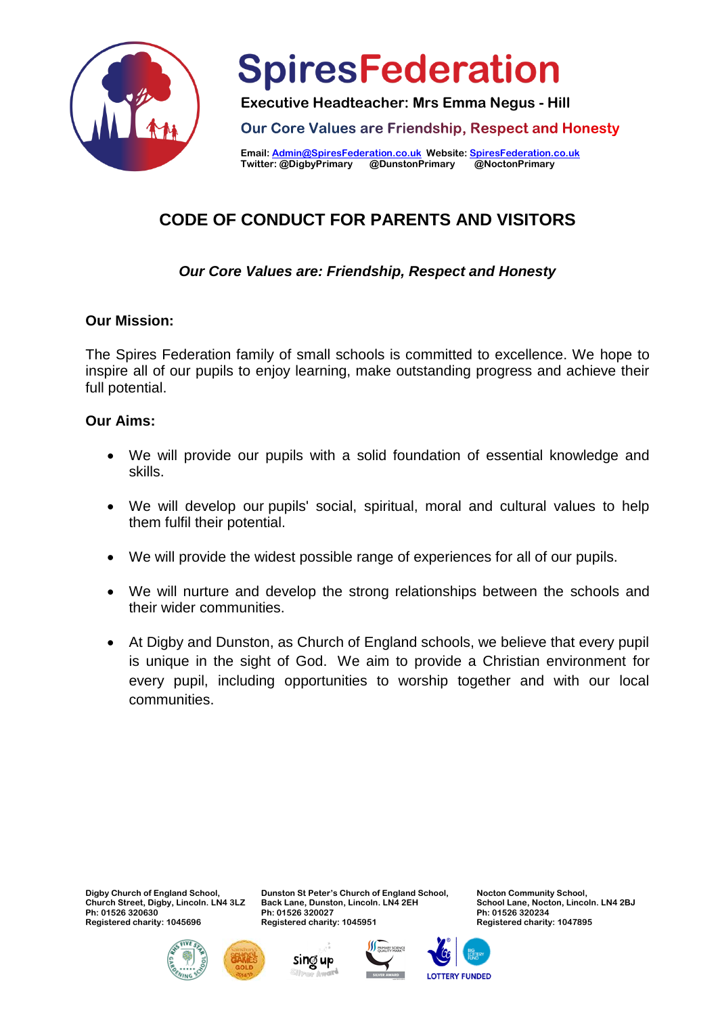

**Executive Headteacher: Mrs Emma Negus - Hill**

Our Core Values are Friendship, Respect and Honesty

**Email[: Admin@SpiresFederation.co.uk](mailto:Admin@SpiresFederation.co.uk) Website[: SpiresFederation.co.uk](http://www.spiresfederation.co.uk/) Twitter: @DigbyPrimary @DunstonPrimary** 

### **CODE OF CONDUCT FOR PARENTS AND VISITORS**

#### *Our Core Values are: Friendship, Respect and Honesty*

#### **Our Mission:**

The Spires Federation family of small schools is committed to excellence. We hope to inspire all of our pupils to enjoy learning, make outstanding progress and achieve their full potential.

#### **Our Aims:**

- We will provide our pupils with a solid foundation of essential knowledge and skills.
- We will develop our pupils' social, spiritual, moral and cultural values to help them fulfil their potential.
- We will provide the widest possible range of experiences for all of our pupils.
- We will nurture and develop the strong relationships between the schools and their wider communities.
- At Digby and Dunston, as Church of England schools, we believe that every pupil is unique in the sight of God. We aim to provide a Christian environment for every pupil, including opportunities to worship together and with our local communities.

**Digby Church of England School, Church Street, Digby, Lincoln. LN4 3LZ Ph: 01526 320630 Registered charity: 1045696**







**Ph: 01526 320027 Registered charity: 1045951** 

**Dunston St Peter's Church of England School, Back Lane, Dunston, Lincoln. LN4 2EH**



**Nocton Community School, School Lane, Nocton, Lincoln. LN4 2BJ Ph: 01526 320234 Registered charity: 1047895**

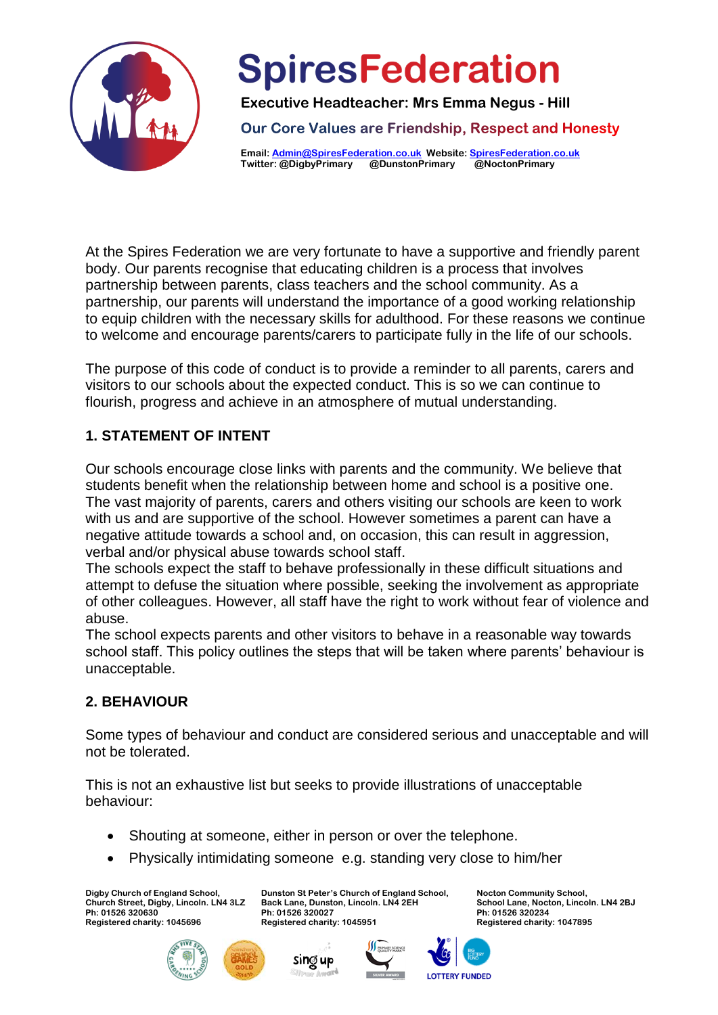

**Executive Headteacher: Mrs Emma Negus - Hill**

Our Core Values are Friendship, Respect and Honesty

**Email[: Admin@SpiresFederation.co.uk](mailto:Admin@SpiresFederation.co.uk) Website[: SpiresFederation.co.uk](http://www.spiresfederation.co.uk/) Twitter: @DigbyPrimary @DunstonPrimary** 

At the Spires Federation we are very fortunate to have a supportive and friendly parent body. Our parents recognise that educating children is a process that involves partnership between parents, class teachers and the school community. As a partnership, our parents will understand the importance of a good working relationship to equip children with the necessary skills for adulthood. For these reasons we continue to welcome and encourage parents/carers to participate fully in the life of our schools.

The purpose of this code of conduct is to provide a reminder to all parents, carers and visitors to our schools about the expected conduct. This is so we can continue to flourish, progress and achieve in an atmosphere of mutual understanding.

#### **1. STATEMENT OF INTENT**

Our schools encourage close links with parents and the community. We believe that students benefit when the relationship between home and school is a positive one. The vast majority of parents, carers and others visiting our schools are keen to work with us and are supportive of the school. However sometimes a parent can have a negative attitude towards a school and, on occasion, this can result in aggression, verbal and/or physical abuse towards school staff.

The schools expect the staff to behave professionally in these difficult situations and attempt to defuse the situation where possible, seeking the involvement as appropriate of other colleagues. However, all staff have the right to work without fear of violence and abuse.

The school expects parents and other visitors to behave in a reasonable way towards school staff. This policy outlines the steps that will be taken where parents' behaviour is unacceptable.

#### **2. BEHAVIOUR**

Some types of behaviour and conduct are considered serious and unacceptable and will not be tolerated.

This is not an exhaustive list but seeks to provide illustrations of unacceptable behaviour:

• Shouting at someone, either in person or over the telephone.

sing up

Physically intimidating someone e.g. standing very close to him/her

**Digby Church of England School, Church Street, Digby, Lincoln. LN4 3LZ Ph: 01526 320630 Registered charity: 1045696**







**LOTTERY FUNDED**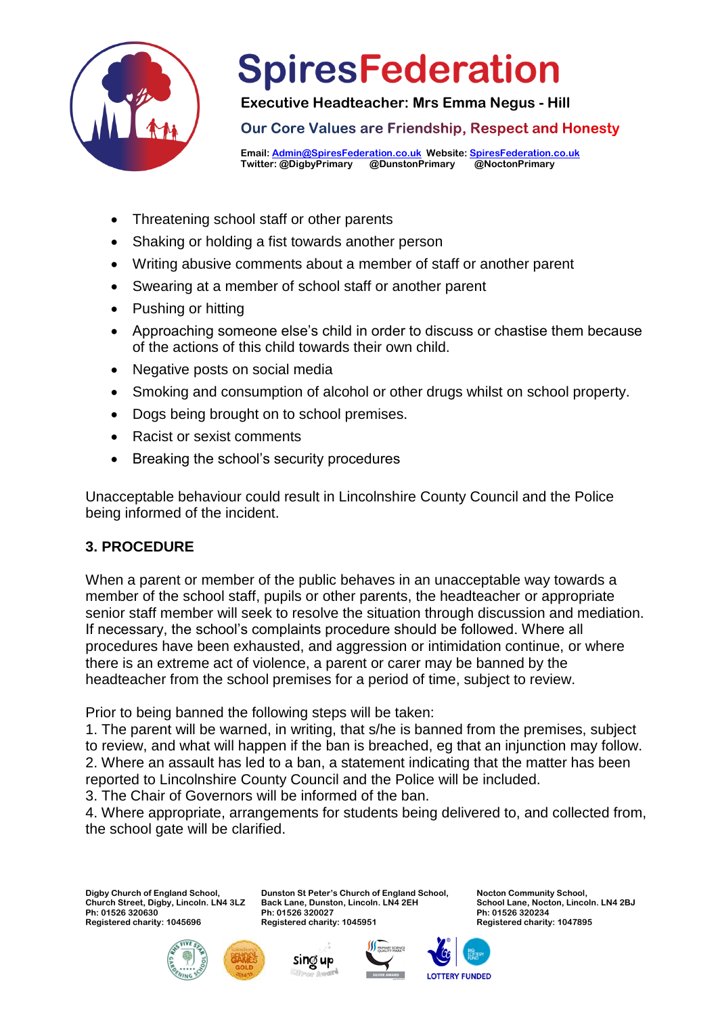

**Executive Headteacher: Mrs Emma Negus - Hill**

Our Core Values are Friendship, Respect and Honesty

**Email[: Admin@SpiresFederation.co.uk](mailto:Admin@SpiresFederation.co.uk) Website[: SpiresFederation.co.uk](http://www.spiresfederation.co.uk/) Twitter: @DigbyPrimary @DunstonPrimary** 

- Threatening school staff or other parents
- Shaking or holding a fist towards another person
- Writing abusive comments about a member of staff or another parent
- Swearing at a member of school staff or another parent
- Pushing or hitting
- Approaching someone else's child in order to discuss or chastise them because of the actions of this child towards their own child.
- Negative posts on social media
- Smoking and consumption of alcohol or other drugs whilst on school property.
- Dogs being brought on to school premises.
- Racist or sexist comments
- Breaking the school's security procedures

Unacceptable behaviour could result in Lincolnshire County Council and the Police being informed of the incident.

#### **3. PROCEDURE**

When a parent or member of the public behaves in an unacceptable way towards a member of the school staff, pupils or other parents, the headteacher or appropriate senior staff member will seek to resolve the situation through discussion and mediation. If necessary, the school's complaints procedure should be followed. Where all procedures have been exhausted, and aggression or intimidation continue, or where there is an extreme act of violence, a parent or carer may be banned by the headteacher from the school premises for a period of time, subject to review.

Prior to being banned the following steps will be taken:

1. The parent will be warned, in writing, that s/he is banned from the premises, subject to review, and what will happen if the ban is breached, eg that an injunction may follow. 2. Where an assault has led to a ban, a statement indicating that the matter has been reported to Lincolnshire County Council and the Police will be included.

3. The Chair of Governors will be informed of the ban.

4. Where appropriate, arrangements for students being delivered to, and collected from, the school gate will be clarified.

> **Dunston St Peter's Church of England School, Back Lane, Dunston, Lincoln. LN4 2EH**

**Digby Church of England School, Church Street, Digby, Lincoln. LN4 3LZ Ph: 01526 320630 Registered charity: 1045696**





**Ph: 01526 320027 Registered charity: 1045951** 



**LOTTERY FUNDED** 

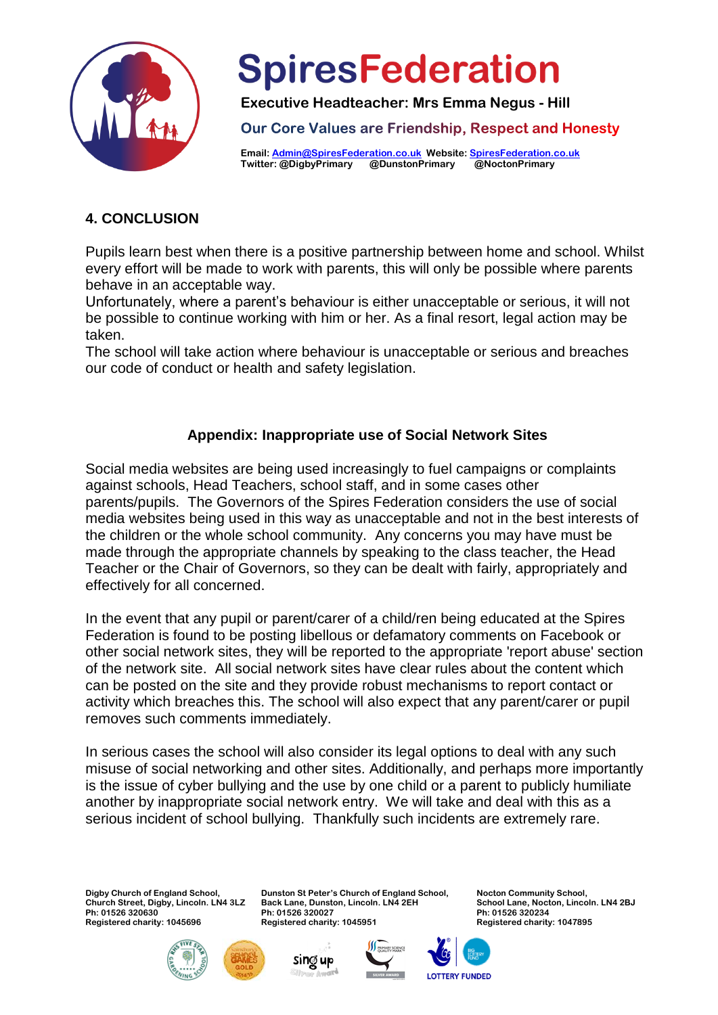

**Executive Headteacher: Mrs Emma Negus - Hill**

Our Core Values are Friendship, Respect and Honesty

**Email[: Admin@SpiresFederation.co.uk](mailto:Admin@SpiresFederation.co.uk) Website[: SpiresFederation.co.uk](http://www.spiresfederation.co.uk/) Twitter: @DigbyPrimary @DunstonPrimary** 

#### **4. CONCLUSION**

Pupils learn best when there is a positive partnership between home and school. Whilst every effort will be made to work with parents, this will only be possible where parents behave in an acceptable way.

Unfortunately, where a parent's behaviour is either unacceptable or serious, it will not be possible to continue working with him or her. As a final resort, legal action may be taken.

The school will take action where behaviour is unacceptable or serious and breaches our code of conduct or health and safety legislation.

#### **Appendix: Inappropriate use of Social Network Sites**

Social media websites are being used increasingly to fuel campaigns or complaints against schools, Head Teachers, school staff, and in some cases other parents/pupils. The Governors of the Spires Federation considers the use of social media websites being used in this way as unacceptable and not in the best interests of the children or the whole school community. Any concerns you may have must be made through the appropriate channels by speaking to the class teacher, the Head Teacher or the Chair of Governors, so they can be dealt with fairly, appropriately and effectively for all concerned.

In the event that any pupil or parent/carer of a child/ren being educated at the Spires Federation is found to be posting libellous or defamatory comments on Facebook or other social network sites, they will be reported to the appropriate 'report abuse' section of the network site. All social network sites have clear rules about the content which can be posted on the site and they provide robust mechanisms to report contact or activity which breaches this. The school will also expect that any parent/carer or pupil removes such comments immediately.

In serious cases the school will also consider its legal options to deal with any such misuse of social networking and other sites. Additionally, and perhaps more importantly is the issue of cyber bullying and the use by one child or a parent to publicly humiliate another by inappropriate social network entry. We will take and deal with this as a serious incident of school bullying. Thankfully such incidents are extremely rare.

**Digby Church of England School, Church Street, Digby, Lincoln. LN4 3LZ Ph: 01526 320630 Registered charity: 1045696**







**Nocton Community School, School Lane, Nocton, Lincoln. LN4 2BJ Ph: 01526 320234 Registered charity: 1047895**

**LOTTERY FUNDED**